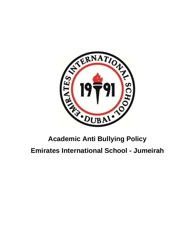

# **Academic Anti Bullying Policy**

## **Emirates International School - Jumeirah**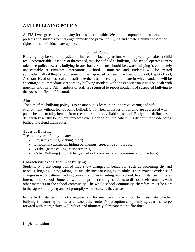### **ANTI-BULLYING POLICY**

At EIS-J we agree bullying in any form is unacceptable. We aim to empower all teachers, prefects and students to challenge, remedy and prevent bullying and create a culture where the rights of the individuals are upheld.

#### **School Policy**

Bullying may be verbal, physical or indirect. In fact any action, which repeatedly makes a child feel uncomfortable, insecure or threatened, may be defined as bullying. The school operates a zero tolerance policy towards bullying in any form. Students should be aware bullying is completely unacceptable at Emirates International School - Jumeirah and students will be treated sympathetically if they tell someone if it has happened to them. The Head of School, Deputy Head, Assistant Head of Pastoral and staff take the lead in creating a climate in which students will be encouraged to immediately report any bullying incident with the expectation it will be dealt with urgently and fairly. All members of staff are required to report incidents of suspected bullying to the Assistant Head of Pastoral.

#### **Aim**

The aim of the bullying policy is to ensure pupils learn in a supportive, caring and safe environment without fear of being bullied. Only when all issues of bullying are addressed will pupils be able to fully benefit from the opportunities available at school. Bullying is defined as deliberately hurtful behaviour, repeated over a period of time, where it is difficult for those being bullied to defend themselves.

#### **Types of Bullying**

The main types of bullying are:

- $\bullet$  Physical (hitting, kicking, theft)
- Emotional (exclusion, hiding belongings, spreading rumours etc.)
- Verbal (name calling, racist remarks)
- Cyber Bullying (through text, email or by any social or communication medium)

#### **Characteristics of a Victim of Bullying**

Students who are being bullied may show changes in behaviour, such as becoming shy and nervous, feigning illness, taking unusual absences or clinging to adults. There may be evidence of changes in work patterns, lacking concentration or truanting from school. In all instances Emirates International School -Jumeirah will attempt to encourage students to discuss their concerns with other members of the school community. The whole school community, therefore, must be alert to the signs of bullying and act promptly with issues as they arise.

In the first instance it is not a requirement for members of the school to investigate whether bullying is occurring but rather to accept the student's perception and jointly agree a way to go forward with them, which will reduce and ultimately eliminate their difficulties.

#### **Implementation**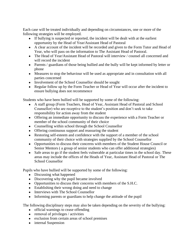Each case will be treated individually and depending on circumstances, one or more of the following strategies will be employed.

- If bullying is suspected or reported, the incident will be dealt with at the earliest opportunity by the Head of Year/Assistant Head of Pastoral
- A clear account of the incident will be recorded and given to the Form Tutor and Head of Year, who will pass on the information to The Assistant Head of Pastoral.
- The Head of Year/Assistant Head of Pastoral will interview / counsel all concerned and will record the incident
- Parents / guardians of those being bullied and the bully will be kept informed by letter or phone
- Measures to stop the behaviour will be used as appropriate and in consultation with all parties concerned
- Involvement of the School Counsellor should be sought
- Regular follow up by the Form Teacher or Head of Year will occur after the incident to ensure bullying does not recommence

Students who have been bullied will be supported by some of the following:

- A staff group (Form Teachers, Head of Year, Assistant Head of Pastoral and School Counsellor) who are receptive to the student's position and don't seek to take responsibility for action away from the student
- Offering an immediate opportunity to discuss the experience with a Form Teacher or member of the school community of their choice
- Counselling within school through the School Counsellor
- Offering continuous support and reassuring the student
- Restoring self-esteem and confidence with the support of a member of the school community of their choice with strategies supplied by the School Counsellor
- Opportunities to discuss their concerns with members of the Student House Council or Senior Mentors ( a group of senior students who can offer additional strategies)
- Safe areas to go if the student feels vulnerable at particular times in the school day. These areas may include the offices of the Heads of Year, Assistant Head of Pastoral or The School Counsellor

Pupils who have bullied will be supported by some of the following:

- Discussing what happened
- Discovering why the pupil became involved
- Opportunities to discuss their concerns with members of the S.H.C.
- Establishing their wrong doing and need to change
- Interviews with The School Counsellor
- Informing parents or guardians to help change the attitude of the pupil

The following disciplinary steps may also be taken depending on the severity of the bullying:

- official warnings to cease offending
- $\bullet$  removal of privileges / activities
- exclusion from certain areas of school premises
- internal Suspension